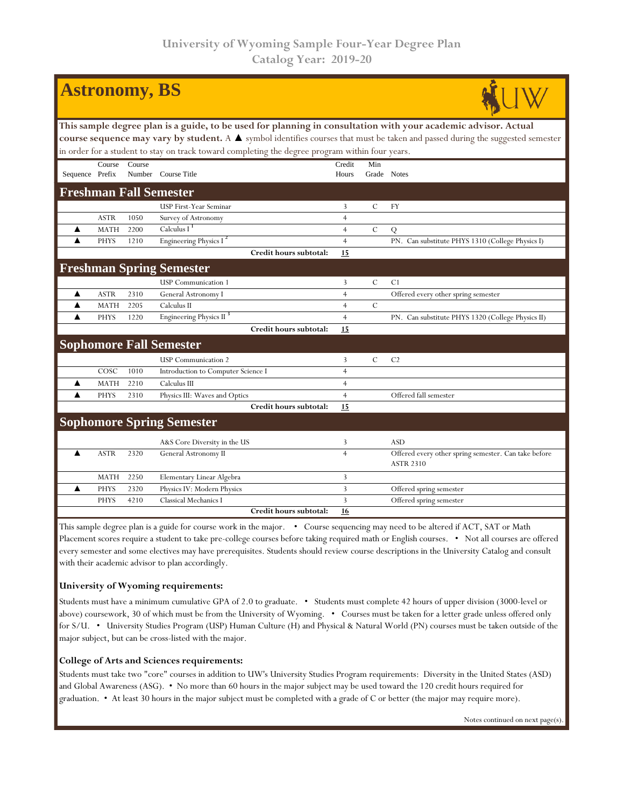| <b>Astronomy, BS</b>                                                                                                                                                                                                                                            |             |        |                                     |                 |               |                                                                          |  |  |  |  |  |
|-----------------------------------------------------------------------------------------------------------------------------------------------------------------------------------------------------------------------------------------------------------------|-------------|--------|-------------------------------------|-----------------|---------------|--------------------------------------------------------------------------|--|--|--|--|--|
| This sample degree plan is a guide, to be used for planning in consultation with your academic advisor. Actual<br>course sequence may vary by student. A $\blacktriangle$ symbol identifies courses that must be taken and passed during the suggested semester |             |        |                                     |                 |               |                                                                          |  |  |  |  |  |
| in order for a student to stay on track toward completing the degree program within four years.                                                                                                                                                                 |             |        |                                     |                 |               |                                                                          |  |  |  |  |  |
| Sequence Prefix                                                                                                                                                                                                                                                 | Course      | Course | Number Course Title                 | Credit<br>Hours | Min           | Grade Notes                                                              |  |  |  |  |  |
| <b>Freshman Fall Semester</b>                                                                                                                                                                                                                                   |             |        |                                     |                 |               |                                                                          |  |  |  |  |  |
|                                                                                                                                                                                                                                                                 |             |        | USP First-Year Seminar              | 3               | $\mathcal{C}$ | <b>FY</b>                                                                |  |  |  |  |  |
|                                                                                                                                                                                                                                                                 | <b>ASTR</b> | 1050   | Survey of Astronomy                 | $\overline{4}$  |               |                                                                          |  |  |  |  |  |
| ▲                                                                                                                                                                                                                                                               | <b>MATH</b> | 2200   | Calculus I $1$                      | $\overline{4}$  | $\mathcal{C}$ | Q                                                                        |  |  |  |  |  |
| ▲                                                                                                                                                                                                                                                               | <b>PHYS</b> | 1210   | Engineering Physics I <sup>2</sup>  | $\overline{4}$  |               | PN. Can substitute PHYS 1310 (College Physics I)                         |  |  |  |  |  |
|                                                                                                                                                                                                                                                                 |             |        | Credit hours subtotal:              | 15              |               |                                                                          |  |  |  |  |  |
|                                                                                                                                                                                                                                                                 |             |        | <b>Freshman Spring Semester</b>     |                 |               |                                                                          |  |  |  |  |  |
|                                                                                                                                                                                                                                                                 |             |        | <b>USP</b> Communication 1          | $\overline{3}$  | $\mathcal{C}$ | C <sub>1</sub>                                                           |  |  |  |  |  |
| ▲                                                                                                                                                                                                                                                               | <b>ASTR</b> | 2310   | General Astronomy I                 | $\overline{4}$  |               | Offered every other spring semester                                      |  |  |  |  |  |
| ▲                                                                                                                                                                                                                                                               | <b>MATH</b> | 2205   | Calculus II                         | $\overline{4}$  | $\mathcal{C}$ |                                                                          |  |  |  |  |  |
| ▲                                                                                                                                                                                                                                                               | <b>PHYS</b> | 1220   | Engineering Physics II <sup>3</sup> | $\overline{4}$  |               | PN. Can substitute PHYS 1320 (College Physics II)                        |  |  |  |  |  |
|                                                                                                                                                                                                                                                                 |             |        | Credit hours subtotal:              | 15              |               |                                                                          |  |  |  |  |  |
|                                                                                                                                                                                                                                                                 |             |        | <b>Sophomore Fall Semester</b>      |                 |               |                                                                          |  |  |  |  |  |
|                                                                                                                                                                                                                                                                 |             |        | <b>USP</b> Communication 2          | 3               | $\mathcal{C}$ | C <sub>2</sub>                                                           |  |  |  |  |  |
|                                                                                                                                                                                                                                                                 | COSC        | 1010   | Introduction to Computer Science I  | $\overline{4}$  |               |                                                                          |  |  |  |  |  |
| ▲                                                                                                                                                                                                                                                               | <b>MATH</b> | 2210   | Calculus III                        | $\overline{4}$  |               |                                                                          |  |  |  |  |  |
| ▲                                                                                                                                                                                                                                                               | <b>PHYS</b> | 2310   | Physics III: Waves and Optics       | $\overline{4}$  |               | Offered fall semester                                                    |  |  |  |  |  |
|                                                                                                                                                                                                                                                                 |             |        | Credit hours subtotal:              | 15              |               |                                                                          |  |  |  |  |  |
|                                                                                                                                                                                                                                                                 |             |        | <b>Sophomore Spring Semester</b>    |                 |               |                                                                          |  |  |  |  |  |
|                                                                                                                                                                                                                                                                 |             |        | A&S Core Diversity in the US        | 3               |               | <b>ASD</b>                                                               |  |  |  |  |  |
| ▲                                                                                                                                                                                                                                                               | <b>ASTR</b> | 2320   | General Astronomy II                | $\overline{4}$  |               | Offered every other spring semester. Can take before<br><b>ASTR 2310</b> |  |  |  |  |  |
|                                                                                                                                                                                                                                                                 | <b>MATH</b> | 2250   | Elementary Linear Algebra           | 3               |               |                                                                          |  |  |  |  |  |
| ▲                                                                                                                                                                                                                                                               | <b>PHYS</b> | 2320   | Physics IV: Modern Physics          | $\overline{3}$  |               | Offered spring semester                                                  |  |  |  |  |  |
|                                                                                                                                                                                                                                                                 | <b>PHYS</b> | 4210   | Classical Mechanics I               | $\overline{3}$  |               | Offered spring semester                                                  |  |  |  |  |  |
|                                                                                                                                                                                                                                                                 |             |        | Credit hours subtotal:              | 16              |               |                                                                          |  |  |  |  |  |

This sample degree plan is a guide for course work in the major. • Course sequencing may need to be altered if ACT, SAT or Math Placement scores require a student to take pre-college courses before taking required math or English courses. • Not all courses are offered every semester and some electives may have prerequisites. Students should review course descriptions in the University Catalog and consult with their academic advisor to plan accordingly.

## **University of Wyoming requirements:**

Students must have a minimum cumulative GPA of 2.0 to graduate. • Students must complete 42 hours of upper division (3000-level or above) coursework, 30 of which must be from the University of Wyoming. • Courses must be taken for a letter grade unless offered only for S/U. • University Studies Program (USP) Human Culture (H) and Physical & Natural World (PN) courses must be taken outside of the major subject, but can be cross-listed with the major.

## **College of Arts and Sciences requirements:**

Students must take two "core" courses in addition to UW's University Studies Program requirements: Diversity in the United States (ASD) and Global Awareness (ASG). • No more than 60 hours in the major subject may be used toward the 120 credit hours required for graduation. • At least 30 hours in the major subject must be completed with a grade of C or better (the major may require more).

Notes continued on next page(s).